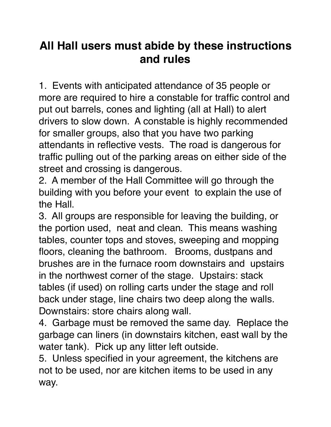## **All Hall users must abide by these instructions and rules**

1. Events with anticipated attendance of 35 people or more are required to hire a constable for traffic control and put out barrels, cones and lighting (all at Hall) to alert drivers to slow down. A constable is highly recommended for smaller groups, also that you have two parking attendants in reflective vests. The road is dangerous for traffic pulling out of the parking areas on either side of the street and crossing is dangerous.

2. A member of the Hall Committee will go through the building with you before your event to explain the use of the Hall.

3. All groups are responsible for leaving the building, or the portion used, neat and clean. This means washing tables, counter tops and stoves, sweeping and mopping floors, cleaning the bathroom. Brooms, dustpans and brushes are in the furnace room downstairs and upstairs in the northwest corner of the stage. Upstairs: stack tables (if used) on rolling carts under the stage and roll back under stage, line chairs two deep along the walls. Downstairs: store chairs along wall.

4. Garbage must be removed the same day. Replace the garbage can liners (in downstairs kitchen, east wall by the water tank). Pick up any litter left outside.

5. Unless specified in your agreement, the kitchens are not to be used, nor are kitchen items to be used in any way.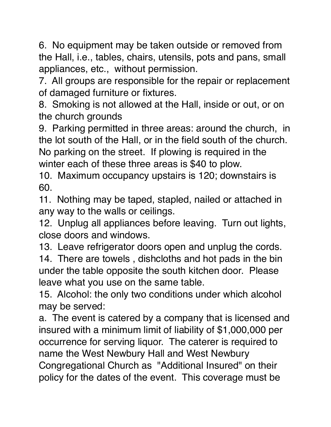6. No equipment may be taken outside or removed from the Hall, i.e., tables, chairs, utensils, pots and pans, small appliances, etc., without permission.

7. All groups are responsible for the repair or replacement of damaged furniture or fixtures.

8. Smoking is not allowed at the Hall, inside or out, or on the church grounds

9. Parking permitted in three areas: around the church, in the lot south of the Hall, or in the field south of the church. No parking on the street. If plowing is required in the winter each of these three areas is \$40 to plow.

10. Maximum occupancy upstairs is 120; downstairs is 60.

11. Nothing may be taped, stapled, nailed or attached in any way to the walls or ceilings.

12. Unplug all appliances before leaving. Turn out lights, close doors and windows.

13. Leave refrigerator doors open and unplug the cords. 14. There are towels , dishcloths and hot pads in the bin under the table opposite the south kitchen door. Please leave what you use on the same table.

15. Alcohol: the only two conditions under which alcohol may be served:

a. The event is catered by a company that is licensed and insured with a minimum limit of liability of \$1,000,000 per occurrence for serving liquor. The caterer is required to name the West Newbury Hall and West Newbury Congregational Church as "Additional Insured" on their policy for the dates of the event. This coverage must be